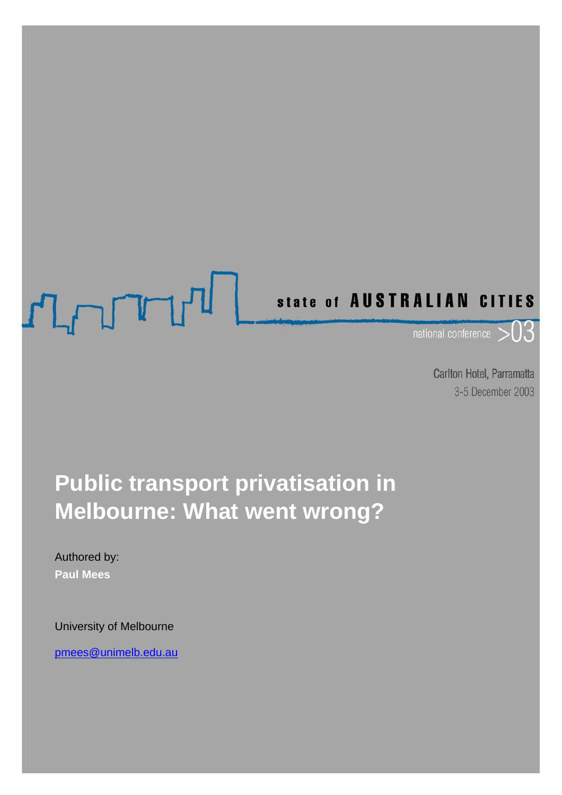# STRALIAN CITIES

Carlton Hotel, Parramatta 3-5 December 2003

# **Public transport privatisation in Melbourne: What went wrong?**

### Authored by: **Paul Mees**

University of Melbourne

pmees@unimelb.edu.au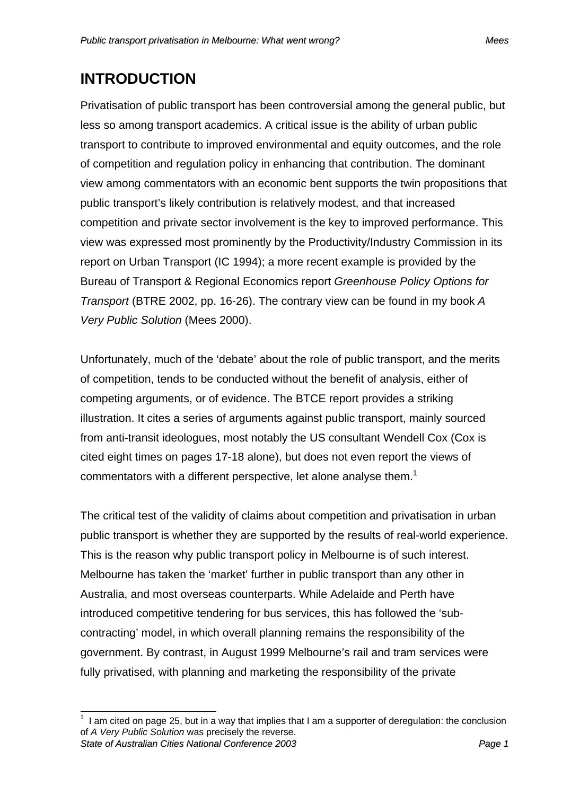# **INTRODUCTION**

Privatisation of public transport has been controversial among the general public, but less so among transport academics. A critical issue is the ability of urban public transport to contribute to improved environmental and equity outcomes, and the role of competition and regulation policy in enhancing that contribution. The dominant view among commentators with an economic bent supports the twin propositions that public transport's likely contribution is relatively modest, and that increased competition and private sector involvement is the key to improved performance. This view was expressed most prominently by the Productivity/Industry Commission in its report on Urban Transport (IC 1994); a more recent example is provided by the Bureau of Transport & Regional Economics report *Greenhouse Policy Options for Transport* (BTRE 2002, pp. 16-26). The contrary view can be found in my book *A Very Public Solution* (Mees 2000).

Unfortunately, much of the 'debate' about the role of public transport, and the merits of competition, tends to be conducted without the benefit of analysis, either of competing arguments, or of evidence. The BTCE report provides a striking illustration. It cites a series of arguments against public transport, mainly sourced from anti-transit ideologues, most notably the US consultant Wendell Cox (Cox is cited eight times on pages 17-18 alone), but does not even report the views of commentators with a different perspective, let alone analyse them.<sup>1</sup>

The critical test of the validity of claims about competition and privatisation in urban public transport is whether they are supported by the results of real-world experience. This is the reason why public transport policy in Melbourne is of such interest. Melbourne has taken the 'market' further in public transport than any other in Australia, and most overseas counterparts. While Adelaide and Perth have introduced competitive tendering for bus services, this has followed the 'subcontracting' model, in which overall planning remains the responsibility of the government. By contrast, in August 1999 Melbourne's rail and tram services were fully privatised, with planning and marketing the responsibility of the private

*State of Australian Cities National Conference 2003 Page 1* THE 1 am cited on page 25, but in a way that implies that I am a supporter of deregulation: the conclusion of *A Very Public Solution* was precisely the reverse.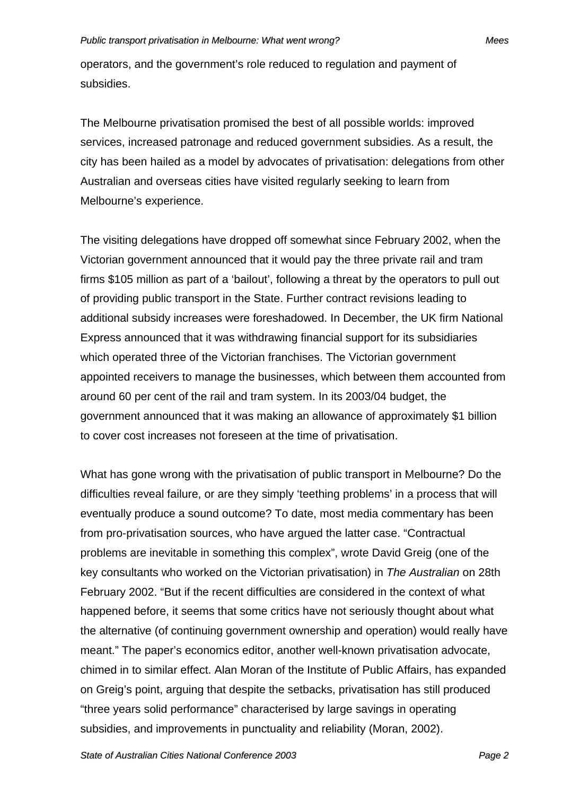operators, and the government's role reduced to regulation and payment of subsidies.

The Melbourne privatisation promised the best of all possible worlds: improved services, increased patronage and reduced government subsidies. As a result, the city has been hailed as a model by advocates of privatisation: delegations from other Australian and overseas cities have visited regularly seeking to learn from Melbourne's experience.

The visiting delegations have dropped off somewhat since February 2002, when the Victorian government announced that it would pay the three private rail and tram firms \$105 million as part of a 'bailout', following a threat by the operators to pull out of providing public transport in the State. Further contract revisions leading to additional subsidy increases were foreshadowed. In December, the UK firm National Express announced that it was withdrawing financial support for its subsidiaries which operated three of the Victorian franchises. The Victorian government appointed receivers to manage the businesses, which between them accounted from around 60 per cent of the rail and tram system. In its 2003/04 budget, the government announced that it was making an allowance of approximately \$1 billion to cover cost increases not foreseen at the time of privatisation.

What has gone wrong with the privatisation of public transport in Melbourne? Do the difficulties reveal failure, or are they simply 'teething problems' in a process that will eventually produce a sound outcome? To date, most media commentary has been from pro-privatisation sources, who have argued the latter case. "Contractual problems are inevitable in something this complex", wrote David Greig (one of the key consultants who worked on the Victorian privatisation) in *The Australian* on 28th February 2002. "But if the recent difficulties are considered in the context of what happened before, it seems that some critics have not seriously thought about what the alternative (of continuing government ownership and operation) would really have meant." The paper's economics editor, another well-known privatisation advocate, chimed in to similar effect. Alan Moran of the Institute of Public Affairs, has expanded on Greig's point, arguing that despite the setbacks, privatisation has still produced "three years solid performance" characterised by large savings in operating subsidies, and improvements in punctuality and reliability (Moran, 2002).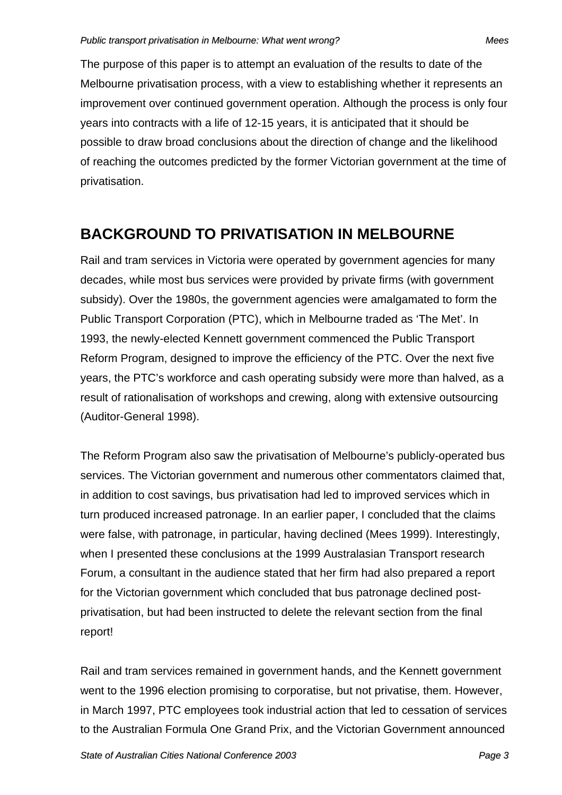The purpose of this paper is to attempt an evaluation of the results to date of the Melbourne privatisation process, with a view to establishing whether it represents an improvement over continued government operation. Although the process is only four years into contracts with a life of 12-15 years, it is anticipated that it should be possible to draw broad conclusions about the direction of change and the likelihood of reaching the outcomes predicted by the former Victorian government at the time of privatisation.

### **BACKGROUND TO PRIVATISATION IN MELBOURNE**

Rail and tram services in Victoria were operated by government agencies for many decades, while most bus services were provided by private firms (with government subsidy). Over the 1980s, the government agencies were amalgamated to form the Public Transport Corporation (PTC), which in Melbourne traded as 'The Met'. In 1993, the newly-elected Kennett government commenced the Public Transport Reform Program, designed to improve the efficiency of the PTC. Over the next five years, the PTC's workforce and cash operating subsidy were more than halved, as a result of rationalisation of workshops and crewing, along with extensive outsourcing (Auditor-General 1998).

The Reform Program also saw the privatisation of Melbourne's publicly-operated bus services. The Victorian government and numerous other commentators claimed that, in addition to cost savings, bus privatisation had led to improved services which in turn produced increased patronage. In an earlier paper, I concluded that the claims were false, with patronage, in particular, having declined (Mees 1999). Interestingly, when I presented these conclusions at the 1999 Australasian Transport research Forum, a consultant in the audience stated that her firm had also prepared a report for the Victorian government which concluded that bus patronage declined postprivatisation, but had been instructed to delete the relevant section from the final report!

Rail and tram services remained in government hands, and the Kennett government went to the 1996 election promising to corporatise, but not privatise, them. However, in March 1997, PTC employees took industrial action that led to cessation of services to the Australian Formula One Grand Prix, and the Victorian Government announced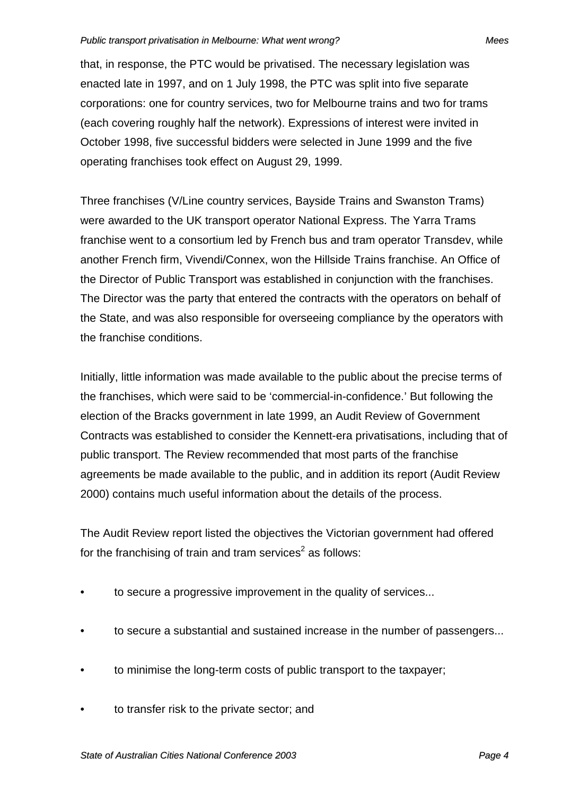that, in response, the PTC would be privatised. The necessary legislation was enacted late in 1997, and on 1 July 1998, the PTC was split into five separate corporations: one for country services, two for Melbourne trains and two for trams (each covering roughly half the network). Expressions of interest were invited in October 1998, five successful bidders were selected in June 1999 and the five operating franchises took effect on August 29, 1999.

Three franchises (V/Line country services, Bayside Trains and Swanston Trams) were awarded to the UK transport operator National Express. The Yarra Trams franchise went to a consortium led by French bus and tram operator Transdev, while another French firm, Vivendi/Connex, won the Hillside Trains franchise. An Office of the Director of Public Transport was established in conjunction with the franchises. The Director was the party that entered the contracts with the operators on behalf of the State, and was also responsible for overseeing compliance by the operators with the franchise conditions.

Initially, little information was made available to the public about the precise terms of the franchises, which were said to be 'commercial-in-confidence.' But following the election of the Bracks government in late 1999, an Audit Review of Government Contracts was established to consider the Kennett-era privatisations, including that of public transport. The Review recommended that most parts of the franchise agreements be made available to the public, and in addition its report (Audit Review 2000) contains much useful information about the details of the process.

The Audit Review report listed the objectives the Victorian government had offered for the franchising of train and tram services<sup>2</sup> as follows:

- to secure a progressive improvement in the quality of services...
- to secure a substantial and sustained increase in the number of passengers...
- to minimise the long-term costs of public transport to the taxpayer;
- to transfer risk to the private sector; and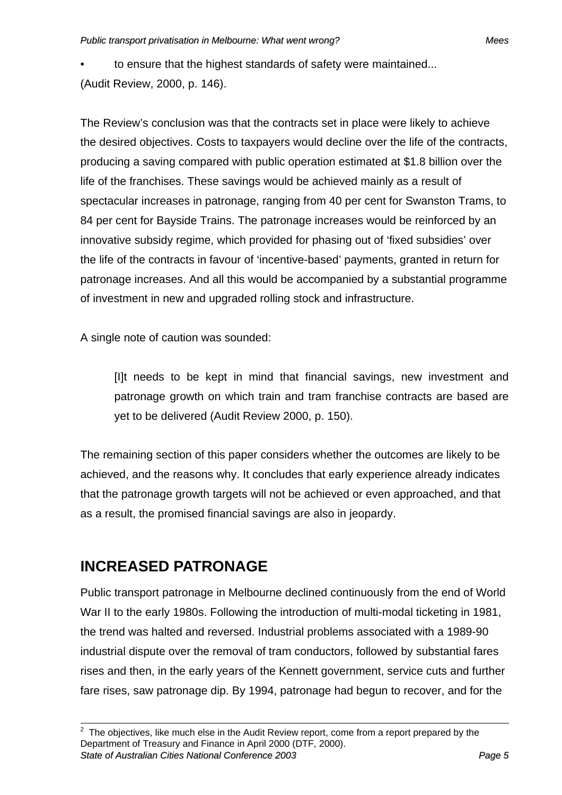• to ensure that the highest standards of safety were maintained... (Audit Review, 2000, p. 146).

The Review's conclusion was that the contracts set in place were likely to achieve the desired objectives. Costs to taxpayers would decline over the life of the contracts, producing a saving compared with public operation estimated at \$1.8 billion over the life of the franchises. These savings would be achieved mainly as a result of spectacular increases in patronage, ranging from 40 per cent for Swanston Trams, to 84 per cent for Bayside Trains. The patronage increases would be reinforced by an innovative subsidy regime, which provided for phasing out of 'fixed subsidies' over the life of the contracts in favour of 'incentive-based' payments, granted in return for patronage increases. And all this would be accompanied by a substantial programme of investment in new and upgraded rolling stock and infrastructure.

A single note of caution was sounded:

[I]t needs to be kept in mind that financial savings, new investment and patronage growth on which train and tram franchise contracts are based are yet to be delivered (Audit Review 2000, p. 150).

The remaining section of this paper considers whether the outcomes are likely to be achieved, and the reasons why. It concludes that early experience already indicates that the patronage growth targets will not be achieved or even approached, and that as a result, the promised financial savings are also in jeopardy.

# **INCREASED PATRONAGE**

Public transport patronage in Melbourne declined continuously from the end of World War II to the early 1980s. Following the introduction of multi-modal ticketing in 1981, the trend was halted and reversed. Industrial problems associated with a 1989-90 industrial dispute over the removal of tram conductors, followed by substantial fares rises and then, in the early years of the Kennett government, service cuts and further fare rises, saw patronage dip. By 1994, patronage had begun to recover, and for the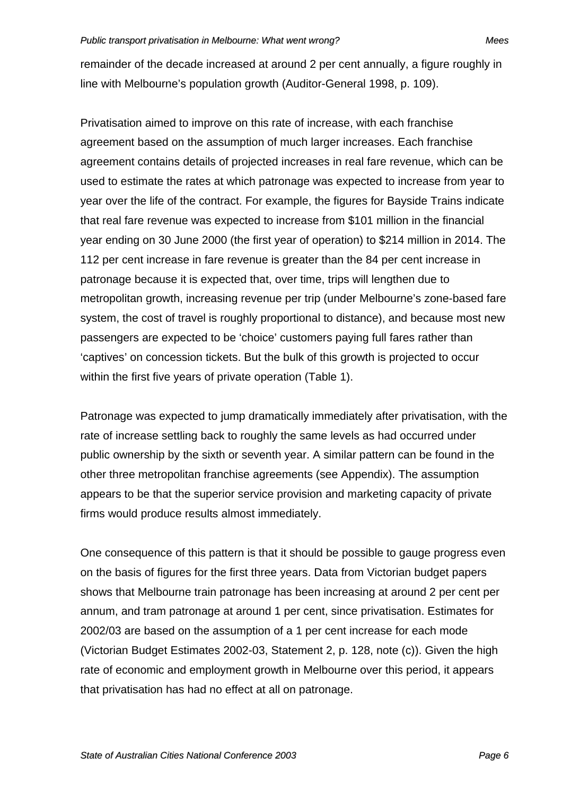remainder of the decade increased at around 2 per cent annually, a figure roughly in line with Melbourne's population growth (Auditor-General 1998, p. 109).

Privatisation aimed to improve on this rate of increase, with each franchise agreement based on the assumption of much larger increases. Each franchise agreement contains details of projected increases in real fare revenue, which can be used to estimate the rates at which patronage was expected to increase from year to year over the life of the contract. For example, the figures for Bayside Trains indicate that real fare revenue was expected to increase from \$101 million in the financial year ending on 30 June 2000 (the first year of operation) to \$214 million in 2014. The 112 per cent increase in fare revenue is greater than the 84 per cent increase in patronage because it is expected that, over time, trips will lengthen due to metropolitan growth, increasing revenue per trip (under Melbourne's zone-based fare system, the cost of travel is roughly proportional to distance), and because most new passengers are expected to be 'choice' customers paying full fares rather than 'captives' on concession tickets. But the bulk of this growth is projected to occur within the first five years of private operation (Table 1).

Patronage was expected to jump dramatically immediately after privatisation, with the rate of increase settling back to roughly the same levels as had occurred under public ownership by the sixth or seventh year. A similar pattern can be found in the other three metropolitan franchise agreements (see Appendix). The assumption appears to be that the superior service provision and marketing capacity of private firms would produce results almost immediately.

One consequence of this pattern is that it should be possible to gauge progress even on the basis of figures for the first three years. Data from Victorian budget papers shows that Melbourne train patronage has been increasing at around 2 per cent per annum, and tram patronage at around 1 per cent, since privatisation. Estimates for 2002/03 are based on the assumption of a 1 per cent increase for each mode (Victorian Budget Estimates 2002-03, Statement 2, p. 128, note (c)). Given the high rate of economic and employment growth in Melbourne over this period, it appears that privatisation has had no effect at all on patronage.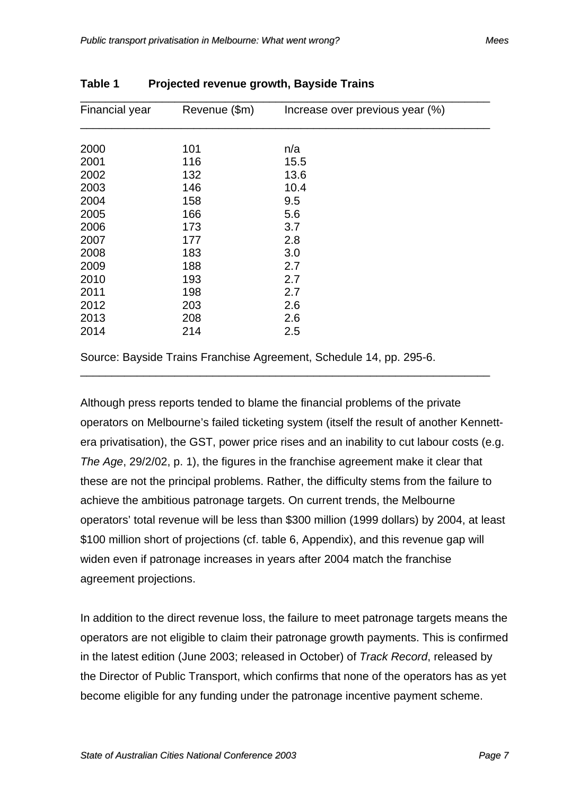| Financial year | Revenue (\$m) | Increase over previous year (%) |
|----------------|---------------|---------------------------------|
|                |               |                                 |
| 2000           | 101           | n/a                             |
| 2001           | 116           | 15.5                            |
| 2002           | 132           | 13.6                            |
| 2003           | 146           | 10.4                            |
| 2004           | 158           | 9.5                             |
| 2005           | 166           | 5.6                             |
| 2006           | 173           | 3.7                             |
| 2007           | 177           | 2.8                             |
| 2008           | 183           | 3.0                             |
| 2009           | 188           | 2.7                             |
| 2010           | 193           | 2.7                             |
| 2011           | 198           | 2.7                             |
| 2012           | 203           | 2.6                             |
| 2013           | 208           | 2.6                             |
| 2014           | 214           | 2.5                             |

**Table 1 Projected revenue growth, Bayside Trains** 

Source: Bayside Trains Franchise Agreement, Schedule 14, pp. 295-6.

Although press reports tended to blame the financial problems of the private operators on Melbourne's failed ticketing system (itself the result of another Kennettera privatisation), the GST, power price rises and an inability to cut labour costs (e.g. *The Age*, 29/2/02, p. 1), the figures in the franchise agreement make it clear that these are not the principal problems. Rather, the difficulty stems from the failure to achieve the ambitious patronage targets. On current trends, the Melbourne operators' total revenue will be less than \$300 million (1999 dollars) by 2004, at least \$100 million short of projections (cf. table 6, Appendix), and this revenue gap will widen even if patronage increases in years after 2004 match the franchise agreement projections.

\_\_\_\_\_\_\_\_\_\_\_\_\_\_\_\_\_\_\_\_\_\_\_\_\_\_\_\_\_\_\_\_\_\_\_\_\_\_\_\_\_\_\_\_\_\_\_\_\_\_\_\_\_\_\_\_\_\_\_\_\_\_\_\_\_

In addition to the direct revenue loss, the failure to meet patronage targets means the operators are not eligible to claim their patronage growth payments. This is confirmed in the latest edition (June 2003; released in October) of *Track Record*, released by the Director of Public Transport, which confirms that none of the operators has as yet become eligible for any funding under the patronage incentive payment scheme.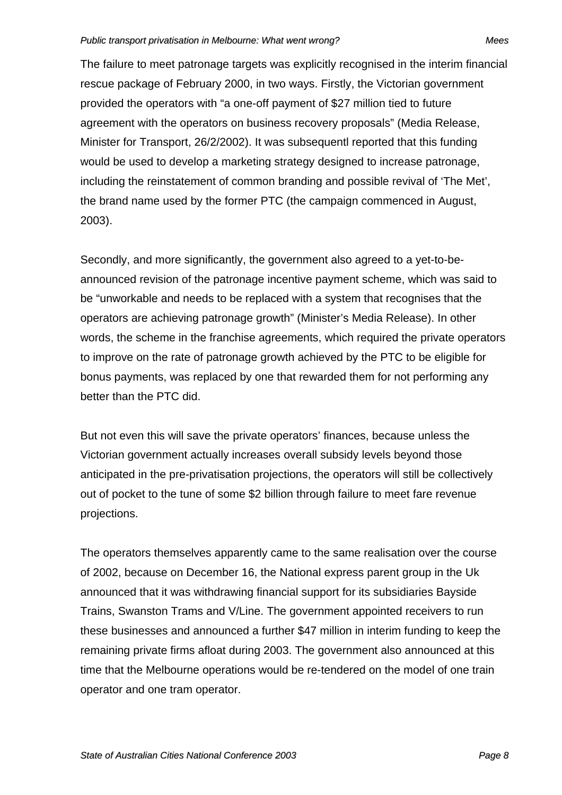The failure to meet patronage targets was explicitly recognised in the interim financial rescue package of February 2000, in two ways. Firstly, the Victorian government provided the operators with "a one-off payment of \$27 million tied to future agreement with the operators on business recovery proposals" (Media Release, Minister for Transport, 26/2/2002). It was subsequentl reported that this funding would be used to develop a marketing strategy designed to increase patronage, including the reinstatement of common branding and possible revival of 'The Met', the brand name used by the former PTC (the campaign commenced in August, 2003).

Secondly, and more significantly, the government also agreed to a yet-to-beannounced revision of the patronage incentive payment scheme, which was said to be "unworkable and needs to be replaced with a system that recognises that the operators are achieving patronage growth" (Minister's Media Release). In other words, the scheme in the franchise agreements, which required the private operators to improve on the rate of patronage growth achieved by the PTC to be eligible for bonus payments, was replaced by one that rewarded them for not performing any better than the PTC did.

But not even this will save the private operators' finances, because unless the Victorian government actually increases overall subsidy levels beyond those anticipated in the pre-privatisation projections, the operators will still be collectively out of pocket to the tune of some \$2 billion through failure to meet fare revenue projections.

The operators themselves apparently came to the same realisation over the course of 2002, because on December 16, the National express parent group in the Uk announced that it was withdrawing financial support for its subsidiaries Bayside Trains, Swanston Trams and V/Line. The government appointed receivers to run these businesses and announced a further \$47 million in interim funding to keep the remaining private firms afloat during 2003. The government also announced at this time that the Melbourne operations would be re-tendered on the model of one train operator and one tram operator.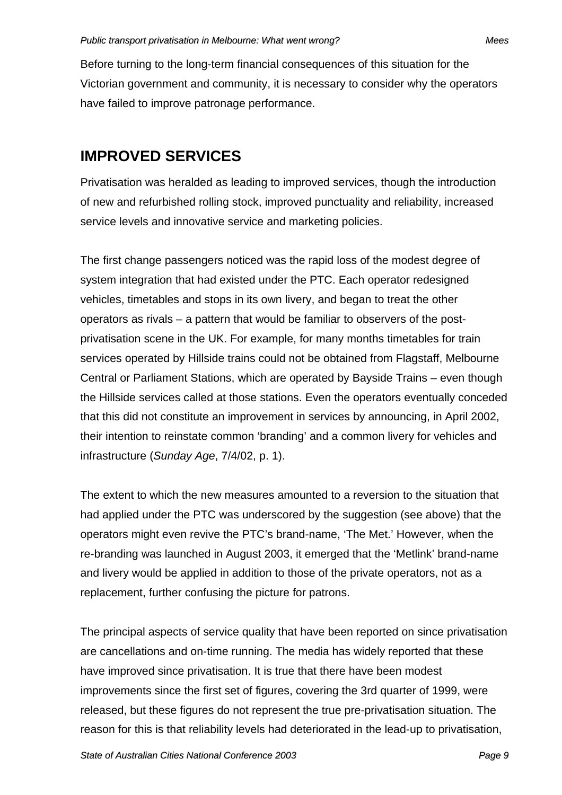Before turning to the long-term financial consequences of this situation for the Victorian government and community, it is necessary to consider why the operators have failed to improve patronage performance.

## **IMPROVED SERVICES**

Privatisation was heralded as leading to improved services, though the introduction of new and refurbished rolling stock, improved punctuality and reliability, increased service levels and innovative service and marketing policies.

The first change passengers noticed was the rapid loss of the modest degree of system integration that had existed under the PTC. Each operator redesigned vehicles, timetables and stops in its own livery, and began to treat the other operators as rivals – a pattern that would be familiar to observers of the postprivatisation scene in the UK. For example, for many months timetables for train services operated by Hillside trains could not be obtained from Flagstaff, Melbourne Central or Parliament Stations, which are operated by Bayside Trains – even though the Hillside services called at those stations. Even the operators eventually conceded that this did not constitute an improvement in services by announcing, in April 2002, their intention to reinstate common 'branding' and a common livery for vehicles and infrastructure (*Sunday Age*, 7/4/02, p. 1).

The extent to which the new measures amounted to a reversion to the situation that had applied under the PTC was underscored by the suggestion (see above) that the operators might even revive the PTC's brand-name, 'The Met.' However, when the re-branding was launched in August 2003, it emerged that the 'Metlink' brand-name and livery would be applied in addition to those of the private operators, not as a replacement, further confusing the picture for patrons.

The principal aspects of service quality that have been reported on since privatisation are cancellations and on-time running. The media has widely reported that these have improved since privatisation. It is true that there have been modest improvements since the first set of figures, covering the 3rd quarter of 1999, were released, but these figures do not represent the true pre-privatisation situation. The reason for this is that reliability levels had deteriorated in the lead-up to privatisation,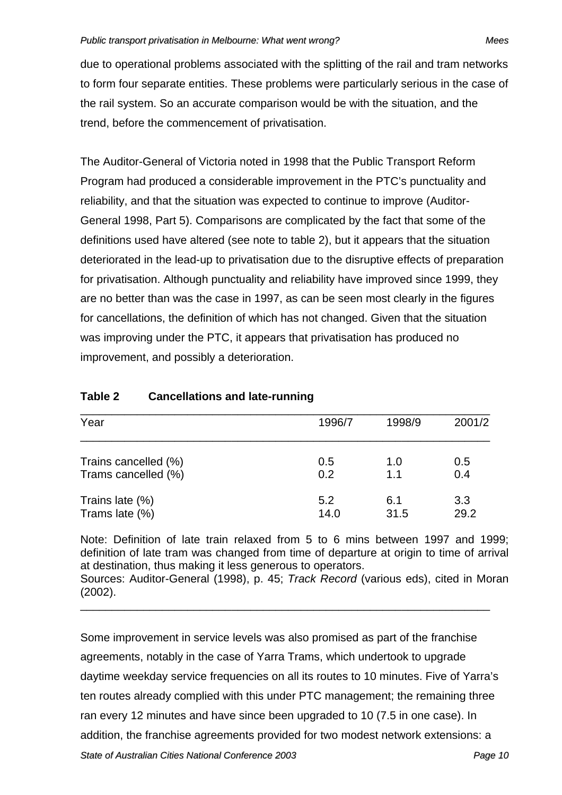due to operational problems associated with the splitting of the rail and tram networks to form four separate entities. These problems were particularly serious in the case of the rail system. So an accurate comparison would be with the situation, and the trend, before the commencement of privatisation.

The Auditor-General of Victoria noted in 1998 that the Public Transport Reform Program had produced a considerable improvement in the PTC's punctuality and reliability, and that the situation was expected to continue to improve (Auditor-General 1998, Part 5). Comparisons are complicated by the fact that some of the definitions used have altered (see note to table 2), but it appears that the situation deteriorated in the lead-up to privatisation due to the disruptive effects of preparation for privatisation. Although punctuality and reliability have improved since 1999, they are no better than was the case in 1997, as can be seen most clearly in the figures for cancellations, the definition of which has not changed. Given that the situation was improving under the PTC, it appears that privatisation has produced no improvement, and possibly a deterioration.

| Year                              | 1996/7      | 1998/9      | 2001/2      |
|-----------------------------------|-------------|-------------|-------------|
| Trains cancelled (%)              | 0.5         | 1.0         | 0.5         |
| Trams cancelled (%)               | 0.2         | 1.1         | 0.4         |
| Trains late (%)<br>Trams late (%) | 5.2<br>14.0 | 6.1<br>31.5 | 3.3<br>29.2 |

### **Table 2 Cancellations and late-running**

Note: Definition of late train relaxed from 5 to 6 mins between 1997 and 1999; definition of late tram was changed from time of departure at origin to time of arrival at destination, thus making it less generous to operators. Sources: Auditor-General (1998), p. 45; *Track Record* (various eds), cited in Moran (2002). \_\_\_\_\_\_\_\_\_\_\_\_\_\_\_\_\_\_\_\_\_\_\_\_\_\_\_\_\_\_\_\_\_\_\_\_\_\_\_\_\_\_\_\_\_\_\_\_\_\_\_\_\_\_\_\_\_\_\_\_\_\_\_\_\_

Some improvement in service levels was also promised as part of the franchise agreements, notably in the case of Yarra Trams, which undertook to upgrade daytime weekday service frequencies on all its routes to 10 minutes. Five of Yarra's ten routes already complied with this under PTC management; the remaining three ran every 12 minutes and have since been upgraded to 10 (7.5 in one case). In addition, the franchise agreements provided for two modest network extensions: a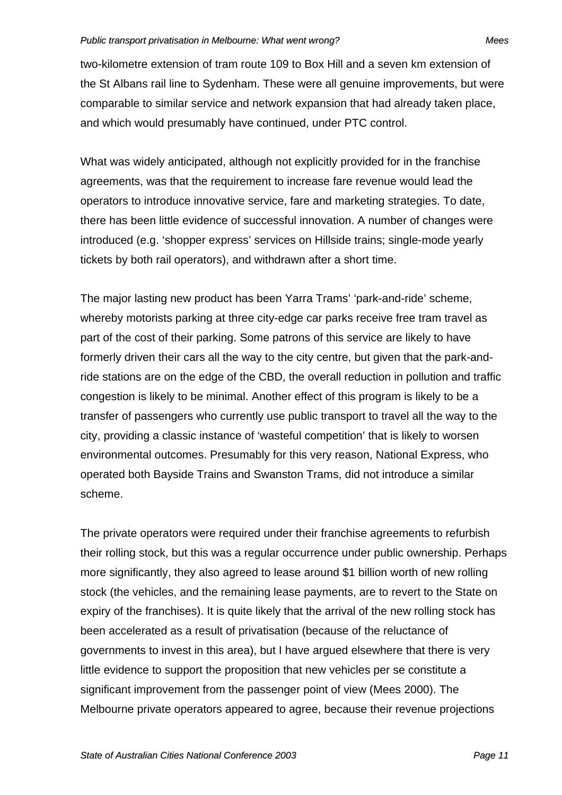two-kilometre extension of tram route 109 to Box Hill and a seven km extension of the St Albans rail line to Sydenham. These were all genuine improvements, but were comparable to similar service and network expansion that had already taken place, and which would presumably have continued, under PTC control.

What was widely anticipated, although not explicitly provided for in the franchise agreements, was that the requirement to increase fare revenue would lead the operators to introduce innovative service, fare and marketing strategies. To date, there has been little evidence of successful innovation. A number of changes were introduced (e.g. 'shopper express' services on Hillside trains; single-mode yearly tickets by both rail operators), and withdrawn after a short time.

The major lasting new product has been Yarra Trams' 'park-and-ride' scheme, whereby motorists parking at three city-edge car parks receive free tram travel as part of the cost of their parking. Some patrons of this service are likely to have formerly driven their cars all the way to the city centre, but given that the park-andride stations are on the edge of the CBD, the overall reduction in pollution and traffic congestion is likely to be minimal. Another effect of this program is likely to be a transfer of passengers who currently use public transport to travel all the way to the city, providing a classic instance of 'wasteful competition' that is likely to worsen environmental outcomes. Presumably for this very reason, National Express, who operated both Bayside Trains and Swanston Trams, did not introduce a similar scheme.

The private operators were required under their franchise agreements to refurbish their rolling stock, but this was a regular occurrence under public ownership. Perhaps more significantly, they also agreed to lease around \$1 billion worth of new rolling stock (the vehicles, and the remaining lease payments, are to revert to the State on expiry of the franchises). It is quite likely that the arrival of the new rolling stock has been accelerated as a result of privatisation (because of the reluctance of governments to invest in this area), but I have argued elsewhere that there is very little evidence to support the proposition that new vehicles per se constitute a significant improvement from the passenger point of view (Mees 2000). The Melbourne private operators appeared to agree, because their revenue projections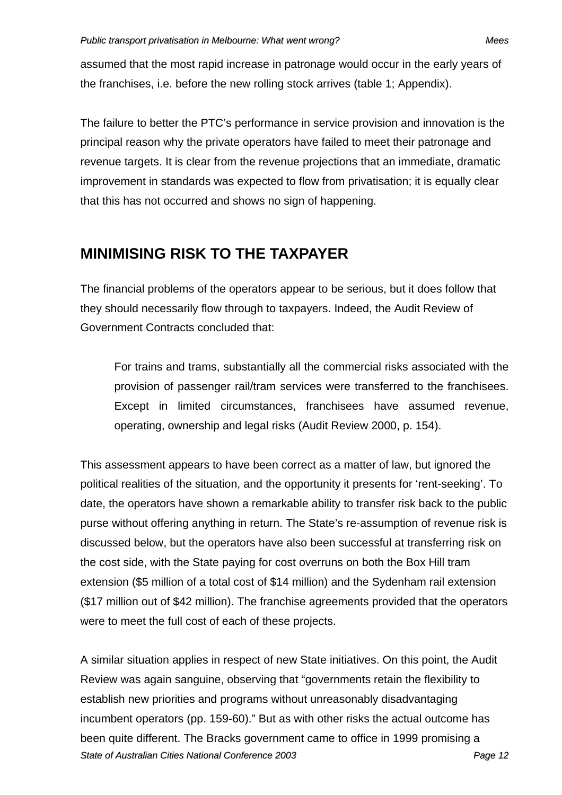assumed that the most rapid increase in patronage would occur in the early years of the franchises, i.e. before the new rolling stock arrives (table 1; Appendix).

The failure to better the PTC's performance in service provision and innovation is the principal reason why the private operators have failed to meet their patronage and revenue targets. It is clear from the revenue projections that an immediate, dramatic improvement in standards was expected to flow from privatisation; it is equally clear that this has not occurred and shows no sign of happening.

# **MINIMISING RISK TO THE TAXPAYER**

The financial problems of the operators appear to be serious, but it does follow that they should necessarily flow through to taxpayers. Indeed, the Audit Review of Government Contracts concluded that:

For trains and trams, substantially all the commercial risks associated with the provision of passenger rail/tram services were transferred to the franchisees. Except in limited circumstances, franchisees have assumed revenue, operating, ownership and legal risks (Audit Review 2000, p. 154).

This assessment appears to have been correct as a matter of law, but ignored the political realities of the situation, and the opportunity it presents for 'rent-seeking'. To date, the operators have shown a remarkable ability to transfer risk back to the public purse without offering anything in return. The State's re-assumption of revenue risk is discussed below, but the operators have also been successful at transferring risk on the cost side, with the State paying for cost overruns on both the Box Hill tram extension (\$5 million of a total cost of \$14 million) and the Sydenham rail extension (\$17 million out of \$42 million). The franchise agreements provided that the operators were to meet the full cost of each of these projects.

*State of Australian Cities National Conference 2003 Page 12* A similar situation applies in respect of new State initiatives. On this point, the Audit Review was again sanguine, observing that "governments retain the flexibility to establish new priorities and programs without unreasonably disadvantaging incumbent operators (pp. 159-60)." But as with other risks the actual outcome has been quite different. The Bracks government came to office in 1999 promising a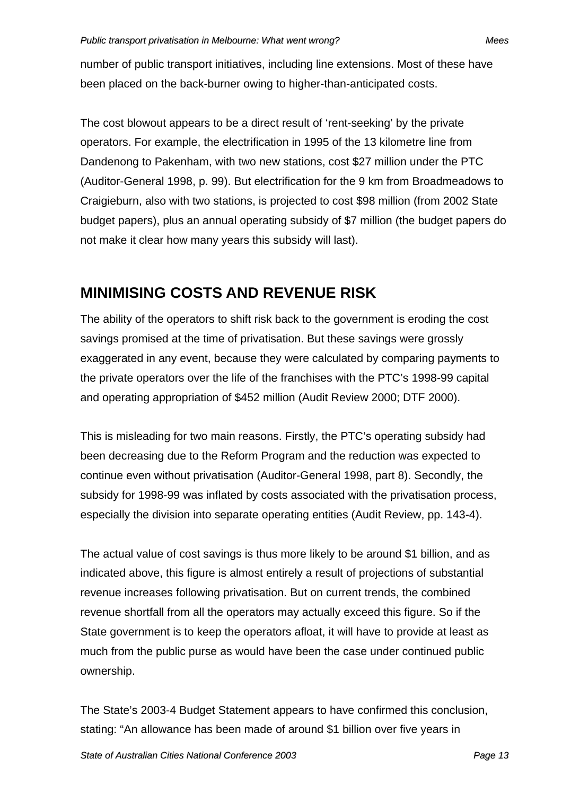number of public transport initiatives, including line extensions. Most of these have been placed on the back-burner owing to higher-than-anticipated costs.

The cost blowout appears to be a direct result of 'rent-seeking' by the private operators. For example, the electrification in 1995 of the 13 kilometre line from Dandenong to Pakenham, with two new stations, cost \$27 million under the PTC (Auditor-General 1998, p. 99). But electrification for the 9 km from Broadmeadows to Craigieburn, also with two stations, is projected to cost \$98 million (from 2002 State budget papers), plus an annual operating subsidy of \$7 million (the budget papers do not make it clear how many years this subsidy will last).

# **MINIMISING COSTS AND REVENUE RISK**

The ability of the operators to shift risk back to the government is eroding the cost savings promised at the time of privatisation. But these savings were grossly exaggerated in any event, because they were calculated by comparing payments to the private operators over the life of the franchises with the PTC's 1998-99 capital and operating appropriation of \$452 million (Audit Review 2000; DTF 2000).

This is misleading for two main reasons. Firstly, the PTC's operating subsidy had been decreasing due to the Reform Program and the reduction was expected to continue even without privatisation (Auditor-General 1998, part 8). Secondly, the subsidy for 1998-99 was inflated by costs associated with the privatisation process, especially the division into separate operating entities (Audit Review, pp. 143-4).

The actual value of cost savings is thus more likely to be around \$1 billion, and as indicated above, this figure is almost entirely a result of projections of substantial revenue increases following privatisation. But on current trends, the combined revenue shortfall from all the operators may actually exceed this figure. So if the State government is to keep the operators afloat, it will have to provide at least as much from the public purse as would have been the case under continued public ownership.

The State's 2003-4 Budget Statement appears to have confirmed this conclusion, stating: "An allowance has been made of around \$1 billion over five years in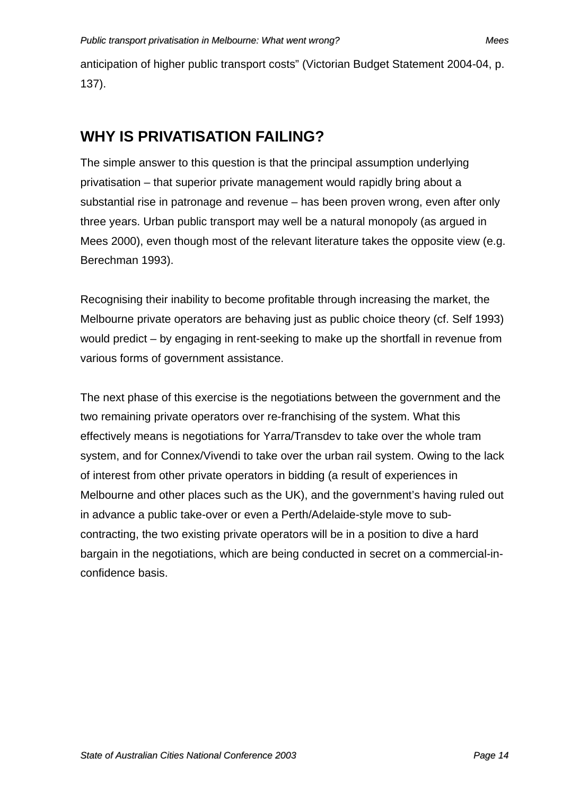anticipation of higher public transport costs" (Victorian Budget Statement 2004-04, p. 137).

## **WHY IS PRIVATISATION FAILING?**

The simple answer to this question is that the principal assumption underlying privatisation – that superior private management would rapidly bring about a substantial rise in patronage and revenue – has been proven wrong, even after only three years. Urban public transport may well be a natural monopoly (as argued in Mees 2000), even though most of the relevant literature takes the opposite view (e.g. Berechman 1993).

Recognising their inability to become profitable through increasing the market, the Melbourne private operators are behaving just as public choice theory (cf. Self 1993) would predict – by engaging in rent-seeking to make up the shortfall in revenue from various forms of government assistance.

The next phase of this exercise is the negotiations between the government and the two remaining private operators over re-franchising of the system. What this effectively means is negotiations for Yarra/Transdev to take over the whole tram system, and for Connex/Vivendi to take over the urban rail system. Owing to the lack of interest from other private operators in bidding (a result of experiences in Melbourne and other places such as the UK), and the government's having ruled out in advance a public take-over or even a Perth/Adelaide-style move to subcontracting, the two existing private operators will be in a position to dive a hard bargain in the negotiations, which are being conducted in secret on a commercial-inconfidence basis.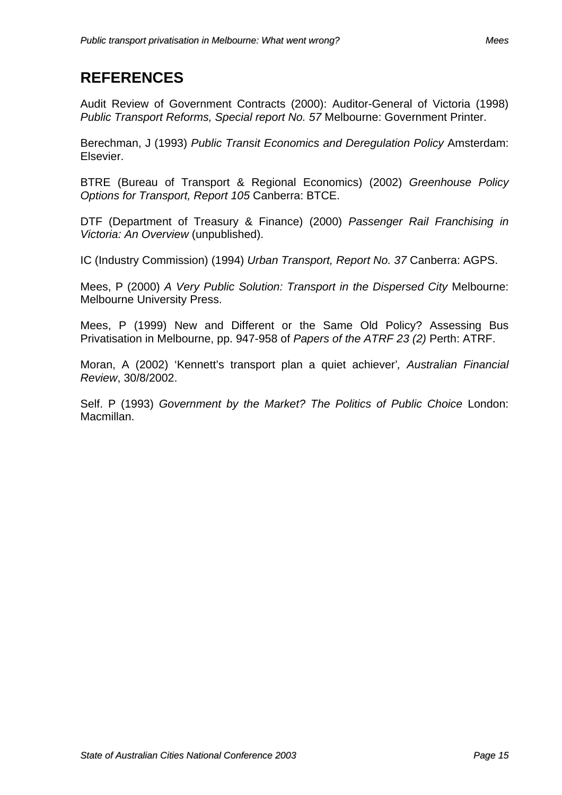### **REFERENCES**

Audit Review of Government Contracts (2000): Auditor-General of Victoria (1998) *Public Transport Reforms, Special report No. 57* Melbourne: Government Printer.

Berechman, J (1993) *Public Transit Economics and Deregulation Policy* Amsterdam: Elsevier.

BTRE (Bureau of Transport & Regional Economics) (2002) *Greenhouse Policy Options for Transport, Report 105* Canberra: BTCE.

DTF (Department of Treasury & Finance) (2000) *Passenger Rail Franchising in Victoria: An Overview* (unpublished).

IC (Industry Commission) (1994) *Urban Transport, Report No. 37* Canberra: AGPS.

Mees, P (2000) *A Very Public Solution: Transport in the Dispersed City* Melbourne: Melbourne University Press.

Mees, P (1999) New and Different or the Same Old Policy? Assessing Bus Privatisation in Melbourne, pp. 947-958 of *Papers of the ATRF 23 (2)* Perth: ATRF.

Moran, A (2002) 'Kennett's transport plan a quiet achiever'*, Australian Financial Review*, 30/8/2002.

Self. P (1993) *Government by the Market? The Politics of Public Choice* London: Macmillan.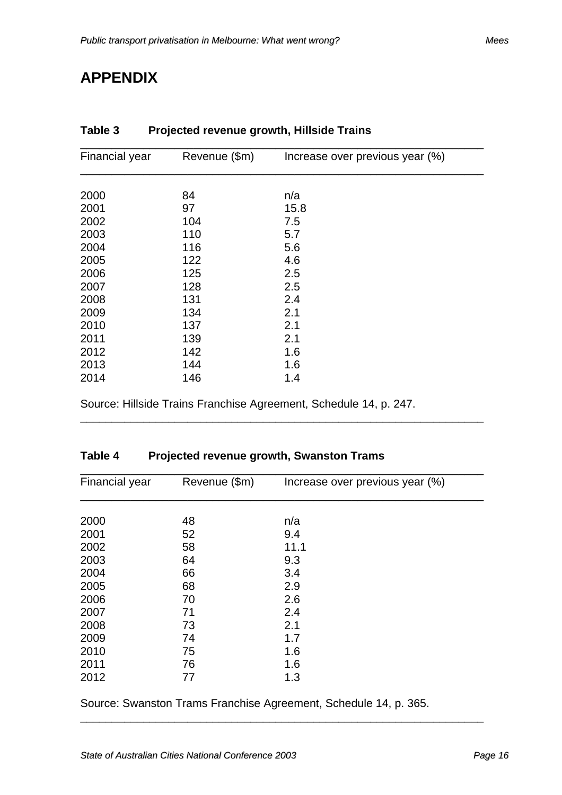# **APPENDIX**

| Financial year | Revenue (\$m) | Increase over previous year (%) |
|----------------|---------------|---------------------------------|
|                |               |                                 |
| 2000           | 84            | n/a                             |
| 2001           | 97            | 15.8                            |
| 2002           | 104           | 7.5                             |
| 2003           | 110           | 5.7                             |
| 2004           | 116           | 5.6                             |
| 2005           | 122           | 4.6                             |
| 2006           | 125           | 2.5                             |
| 2007           | 128           | 2.5                             |
| 2008           | 131           | 2.4                             |
| 2009           | 134           | 2.1                             |
| 2010           | 137           | 2.1                             |
| 2011           | 139           | 2.1                             |
| 2012           | 142           | 1.6                             |
| 2013           | 144           | 1.6                             |
| 2014           | 146           | 1.4                             |
|                |               |                                 |

\_\_\_\_\_\_\_\_\_\_\_\_\_\_\_\_\_\_\_\_\_\_\_\_\_\_\_\_\_\_\_\_\_\_\_\_\_\_\_\_\_\_\_\_\_\_\_\_\_\_\_\_\_\_\_\_\_\_\_\_\_\_\_\_

### **Table 3 Projected revenue growth, Hillside Trains**

Source: Hillside Trains Franchise Agreement, Schedule 14, p. 247.

### **Table 4 Projected revenue growth, Swanston Trams**

| <b>Financial year</b> | Revenue (\$m) | Increase over previous year (%) |
|-----------------------|---------------|---------------------------------|
|                       |               |                                 |
| 2000                  | 48            | n/a                             |
| 2001                  | 52            | 9.4                             |
| 2002                  | 58            | 11.1                            |
| 2003                  | 64            | 9.3                             |
| 2004                  | 66            | 3.4                             |
| 2005                  | 68            | 2.9                             |
| 2006                  | 70            | 2.6                             |
| 2007                  | 71            | 2.4                             |
| 2008                  | 73            | 2.1                             |
| 2009                  | 74            | 1.7                             |
| 2010                  | 75            | 1.6                             |
| 2011                  | 76            | 1.6                             |
| 2012                  | 77            | 1.3                             |
|                       |               |                                 |

Source: Swanston Trams Franchise Agreement, Schedule 14, p. 365.

\_\_\_\_\_\_\_\_\_\_\_\_\_\_\_\_\_\_\_\_\_\_\_\_\_\_\_\_\_\_\_\_\_\_\_\_\_\_\_\_\_\_\_\_\_\_\_\_\_\_\_\_\_\_\_\_\_\_\_\_\_\_\_\_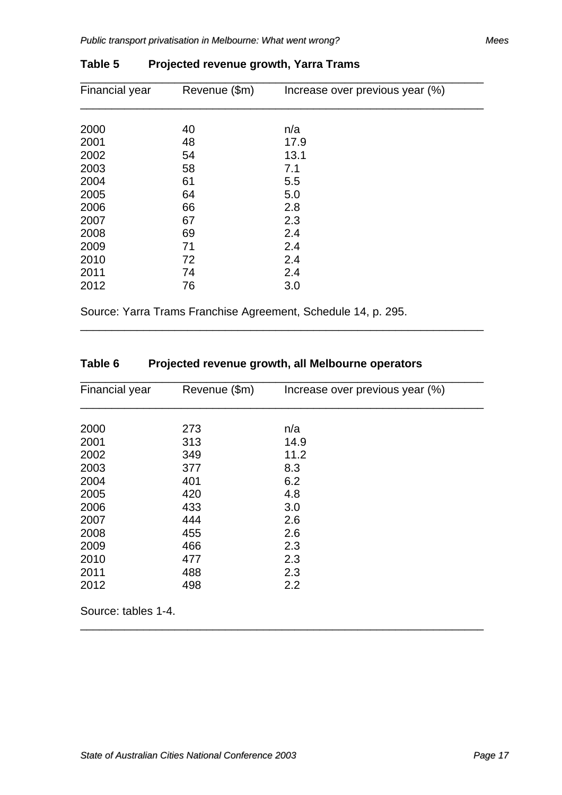| <b>Financial year</b> | Revenue (\$m) | Increase over previous year (%) |
|-----------------------|---------------|---------------------------------|
|                       |               |                                 |
| 2000                  | 40            | n/a                             |
| 2001                  | 48            | 17.9                            |
| 2002                  | 54            | 13.1                            |
| 2003                  | 58            | 7.1                             |
| 2004                  | 61            | 5.5                             |
| 2005                  | 64            | 5.0                             |
| 2006                  | 66            | 2.8                             |
| 2007                  | 67            | 2.3                             |
| 2008                  | 69            | 2.4                             |
| 2009                  | 71            | 2.4                             |
| 2010                  | 72            | 2.4                             |
| 2011                  | 74            | 2.4                             |
| 2012                  | 76            | 3.0                             |
|                       |               |                                 |

\_\_\_\_\_\_\_\_\_\_\_\_\_\_\_\_\_\_\_\_\_\_\_\_\_\_\_\_\_\_\_\_\_\_\_\_\_\_\_\_\_\_\_\_\_\_\_\_\_\_\_\_\_\_\_\_\_\_\_\_\_\_\_\_

### **Table 5 Projected revenue growth, Yarra Trams**

Source: Yarra Trams Franchise Agreement, Schedule 14, p. 295.

### **Table 6 Projected revenue growth, all Melbourne operators**

| Financial year | Revenue (\$m) | Increase over previous year (%) |
|----------------|---------------|---------------------------------|
|                |               |                                 |
| 2000           | 273           | n/a                             |
| 2001           | 313           | 14.9                            |
| 2002           | 349           | 11.2                            |
| 2003           | 377           | 8.3                             |
| 2004           | 401           | 6.2                             |
| 2005           | 420           | 4.8                             |
| 2006           | 433           | 3.0                             |
| 2007           | 444           | 2.6                             |
| 2008           | 455           | 2.6                             |
| 2009           | 466           | 2.3                             |
| 2010           | 477           | 2.3                             |
| 2011           | 488           | 2.3                             |
| 2012           | 498           | 2.2                             |

\_\_\_\_\_\_\_\_\_\_\_\_\_\_\_\_\_\_\_\_\_\_\_\_\_\_\_\_\_\_\_\_\_\_\_\_\_\_\_\_\_\_\_\_\_\_\_\_\_\_\_\_\_\_\_\_\_\_\_\_\_\_\_\_